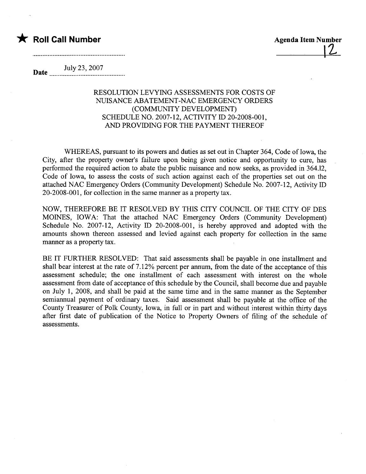## $\bigstar$  Roll Call Number

**Agenda Item Number** 

July 23, 2007<br>mate manufactures and the material system of the system of the system of the system of the system of the system of the system of the system of the system of the system of the system of the system of the syste

## RESOLUTION LEVYING ASSESSMENTS FOR COSTS OF NUISANCE ABATEMENT-NAC EMERGENCY ORDERS (COMMUNITY DEVELOPMENT) SCHEDULE NO. 2007-12, ACTIVITY ID 20-2008-001, AND PROVIDING FOR THE PAYMENT THEREOF

WHEREAS, pursuant to its powers and duties as set out in Chapter 364, Code of Iowa, the City, after the property owner's failure upon being given notice and opportunity to cure, has performed the required action to abate the public nuisance and now seeks, as provided in 364.12, Code of Iowa, to assess the costs of such action against each of the properties set out on the attached NAC Emergency Orders (Community Development) Schedule No. 2007-12, Activity ID 20-2008-001, for collection in the same manner as a property tax.

NOW, THEREFORE BE IT RESOLVED BY THIS CITY COUNCIL OF THE CITY OF DES MOINES, IOWA: That the attached NAC Emergency Orders (Community Development) Schedule No. 2007-12, Activity ID 20-2008-001, is hereby approved and adopted with the amounts shown thereon assessed and levied against each property for collection in the same manner as a property tax.

BE IT FURTHER RESOLVED: That said assessments shall be payable in one installment and shall bear interest at the rate of 7.12% percent per annum, from the date of the acceptance of this assessment schedule; the one installment of each assessment with interest on the whole assessment from date of acceptance of this schedule by the Council, shall become due and payable on July 1, 2008, and shall be paid at the same time and in the same manner as the September semiannual payment of ordinary taxes. Said assessment shall be payable at the office of the County Treasurer of Polk County, Iowa, in full or in part and without interest within thirty days after first date of publication of the Notice to Property Owners of filing of the schedule of assessments.